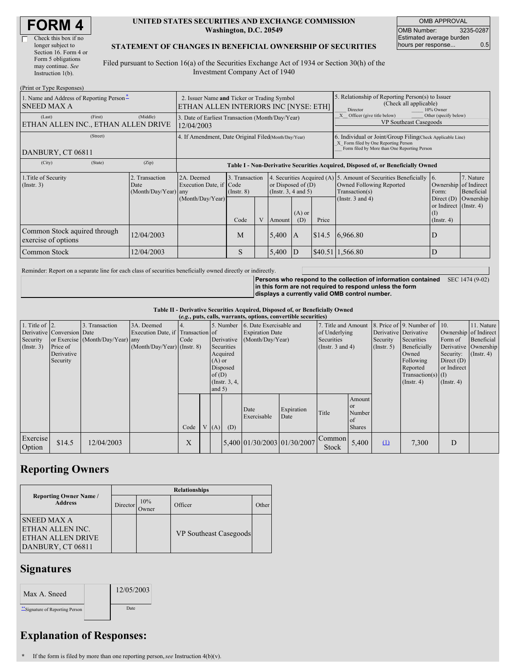| <b>FORM4</b> |
|--------------|
|--------------|

| Check this box if no  |
|-----------------------|
| longer subject to     |
| Section 16. Form 4 or |
| Form 5 obligations    |
| may continue. See     |
| Instruction 1(b).     |
|                       |

#### **UNITED STATES SECURITIES AND EXCHANGE COMMISSION Washington, D.C. 20549**

OMB APPROVAL OMB Number: 3235-0287 Estimated average burden hours per response... 0.5

#### **STATEMENT OF CHANGES IN BENEFICIAL OWNERSHIP OF SECURITIES**

Filed pursuant to Section 16(a) of the Securities Exchange Act of 1934 or Section 30(h) of the Investment Company Act of 1940

| (Print or Type Responses)                                                                  |                                                                                                                   |                                       |                                   |   |                                              |                 |                                                                                                                                                    |                                                                                                               |                                                            |                         |  |
|--------------------------------------------------------------------------------------------|-------------------------------------------------------------------------------------------------------------------|---------------------------------------|-----------------------------------|---|----------------------------------------------|-----------------|----------------------------------------------------------------------------------------------------------------------------------------------------|---------------------------------------------------------------------------------------------------------------|------------------------------------------------------------|-------------------------|--|
| 1. Name and Address of Reporting Person-<br><b>SNEED MAX A</b>                             | 2. Issuer Name and Ticker or Trading Symbol<br>ETHAN ALLEN INTERIORS INC [NYSE: ETH]                              |                                       |                                   |   |                                              |                 | 5. Relationship of Reporting Person(s) to Issuer<br>(Check all applicable)<br>10% Owner<br>Director                                                |                                                                                                               |                                                            |                         |  |
| (First)<br>(Last)                                                                          | (Middle)<br>3. Date of Earliest Transaction (Month/Day/Year)<br>ETHAN ALLEN INC., ETHAN ALLEN DRIVE<br>12/04/2003 |                                       |                                   |   |                                              |                 |                                                                                                                                                    | X Officer (give title below)<br>Other (specify below)<br><b>VP Southeast Casegoods</b>                        |                                                            |                         |  |
| (Street)<br>DANBURY, CT 06811                                                              | 4. If Amendment, Date Original Filed(Month/Day/Year)                                                              |                                       |                                   |   |                                              |                 | 6. Individual or Joint/Group Filing(Check Applicable Line)<br>X Form filed by One Reporting Person<br>Form filed by More than One Reporting Person |                                                                                                               |                                                            |                         |  |
| (State)<br>(City)                                                                          | (Zip)                                                                                                             |                                       |                                   |   |                                              |                 |                                                                                                                                                    | Table I - Non-Derivative Securities Acquired, Disposed of, or Beneficially Owned                              |                                                            |                         |  |
| 2. Transaction<br>1. Title of Security<br>$($ Instr. 3 $)$<br>Date<br>(Month/Day/Year) any |                                                                                                                   | 2A. Deemed<br>Execution Date, if Code | 3. Transaction<br>$($ Instr. $8)$ |   | or Disposed of $(D)$<br>(Insert. 3, 4 and 5) |                 |                                                                                                                                                    | 4. Securities Acquired (A) 5. Amount of Securities Beneficially<br>Owned Following Reported<br>Transaction(s) | $\blacksquare$<br>Ownership of Indirect<br>Form:           | 7. Nature<br>Beneficial |  |
|                                                                                            |                                                                                                                   | (Month/Day/Year)                      | Code                              | V | Amount                                       | $(A)$ or<br>(D) | Price                                                                                                                                              | (Instr. $3$ and $4$ )                                                                                         | Direct $(D)$<br>or Indirect (Instr. 4)<br>$($ Instr. 4 $)$ | Ownership               |  |
| Common Stock aquired through<br>exercise of options                                        | 12/04/2003                                                                                                        |                                       | M                                 |   | 5,400                                        | A               | \$14.5                                                                                                                                             | 6,966.80                                                                                                      | D                                                          |                         |  |
| 12/04/2003<br>Common Stock                                                                 |                                                                                                                   |                                       | S                                 |   | 5,400                                        | ID              |                                                                                                                                                    | $$40.51 \mid 1,566.80$                                                                                        | D                                                          |                         |  |

Reminder: Report on a separate line for each class of securities beneficially owned directly or indirectly.

**Persons who respond to the collection of information contained** SEC 1474 (9-02) **in this form are not required to respond unless the form displays a currently valid OMB control number.**

**Table II - Derivative Securities Acquired, Disposed of, or Beneficially Owned**

| (e.g., puts, calls, warrants, options, convertible securities) |                                                                  |                                                    |                                                                                  |      |  |                                  |                                                                                   |                                                                       |                    |                                                                             |                                                          |                                                    |                                                                                                                                     |                                                                                                  |                                                                      |
|----------------------------------------------------------------|------------------------------------------------------------------|----------------------------------------------------|----------------------------------------------------------------------------------|------|--|----------------------------------|-----------------------------------------------------------------------------------|-----------------------------------------------------------------------|--------------------|-----------------------------------------------------------------------------|----------------------------------------------------------|----------------------------------------------------|-------------------------------------------------------------------------------------------------------------------------------------|--------------------------------------------------------------------------------------------------|----------------------------------------------------------------------|
| 1. Title of $\vert$ 2.<br>Security<br>$($ Instr. 3)            | Derivative Conversion Date<br>Price of<br>Derivative<br>Security | 3. Transaction<br>or Exercise (Month/Day/Year) any | 3A. Deemed<br>Execution Date, if Transaction of<br>$(Month/Day/Year)$ (Instr. 8) | Code |  | $(A)$ or<br>of $(D)$<br>and $5)$ | 5. Number<br>Derivative<br>Securities<br>Acquired<br>Disposed<br>$($ Instr. 3, 4, | 6. Date Exercisable and<br><b>Expiration Date</b><br>(Month/Day/Year) |                    | 7. Title and Amount<br>of Underlying<br>Securities<br>(Instr. $3$ and $4$ ) |                                                          | Derivative Derivative<br>Security<br>$($ Instr. 5) | 8. Price of 9. Number of 10.<br>Securities<br>Beneficially<br>Owned<br>Following<br>Reported<br>$Transaction(s)$ (I)<br>(Insert. 4) | Ownership of Indirect<br>Form of<br>Security:<br>Direct $(D)$<br>or Indirect<br>$($ Instr. 4 $)$ | 11. Nature<br>Beneficial<br>Derivative Ownership<br>$($ Instr. 4 $)$ |
|                                                                |                                                                  |                                                    |                                                                                  | Code |  | V(A)                             | (D)                                                                               | Date<br>Exercisable                                                   | Expiration<br>Date | Title                                                                       | Amount<br><sub>or</sub><br>Number<br>of<br><b>Shares</b> |                                                    |                                                                                                                                     |                                                                                                  |                                                                      |
| Exercise<br>Option                                             | \$14.5                                                           | 12/04/2003                                         |                                                                                  | X    |  |                                  |                                                                                   | 5,400 01/30/2003 01/30/2007                                           |                    | Common<br><b>Stock</b>                                                      | 5,400                                                    | $\mathbf{u}$                                       | 7,300                                                                                                                               | D                                                                                                |                                                                      |

### **Reporting Owners**

|                                                                                         | <b>Relationships</b> |              |                               |       |  |  |  |  |  |
|-----------------------------------------------------------------------------------------|----------------------|--------------|-------------------------------|-------|--|--|--|--|--|
| <b>Reporting Owner Name</b> /<br><b>Address</b>                                         | Director             | 10%<br>Owner | Officer                       | Other |  |  |  |  |  |
| <b>SNEED MAX A</b><br>ETHAN ALLEN INC.<br><b>ETHAN ALLEN DRIVE</b><br>DANBURY, CT 06811 |                      |              | <b>VP</b> Southeast Casegoods |       |  |  |  |  |  |

## **Signatures**

| Max A. Sneed                   | 12/05/2003 |
|--------------------------------|------------|
| "Signature of Reporting Person | Date       |

# **Explanation of Responses:**

**\*** If the form is filed by more than one reporting person,*see* Instruction 4(b)(v).